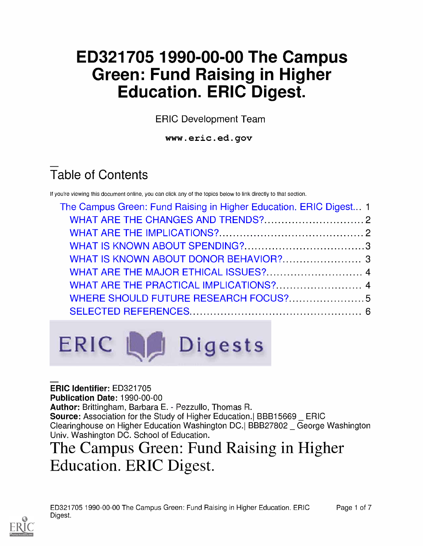# ED321705 1990-00-00 The Campus Green: Fund Raising in Higher Education. ERIC Digest.

ERIC Development Team

www.eric.ed.gov

# Table of Contents

If you're viewing this document online, you can click any of the topics below to link directly to that section.

| The Campus Green: Fund Raising in Higher Education. ERIC Digest 1 |  |
|-------------------------------------------------------------------|--|
|                                                                   |  |
|                                                                   |  |
|                                                                   |  |
|                                                                   |  |
| WHAT ARE THE MAJOR ETHICAL ISSUES? 4                              |  |
| WHAT ARE THE PRACTICAL IMPLICATIONS? 4                            |  |
|                                                                   |  |
|                                                                   |  |



ERIC Identifier: ED321705 Publication Date: 1990-00-00 Author: Brittingham, Barbara E. - Pezzullo, Thomas R. Source: Association for the Study of Higher Education. | BBB15669 \_ ERIC Clearinghouse on Higher Education Washington DC.' BBB27802 George Washington Univ. Washington DC. School of Education.

## The Campus Green: Fund Raising in Higher Education. ERIC Digest.

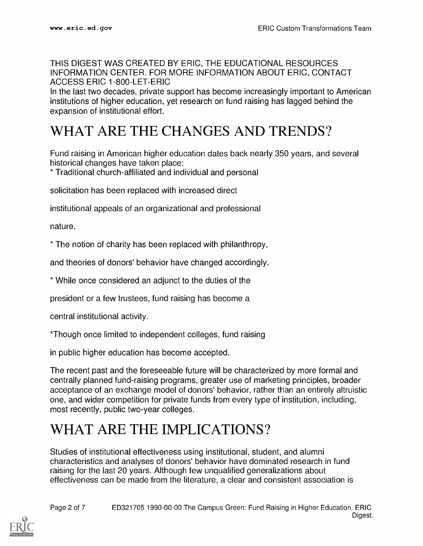#### THIS DIGEST WAS CREATED BY ERIC, THE EDUCATIONAL RESOURCES INFORMATION CENTER. FOR MORE INFORMATION ABOUT ERIC, CONTACT ACCESS ERIC 1-800-LET-ERIC

In the last two decades, private support has become increasingly important to American institutions of higher education, yet research on fund raising has lagged behind the expansion of institutional effort.

#### WHAT ARE THE CHANGES AND TRENDS?

Fund raising in American higher education dates back nearly 350 years, and several historical changes have taken place:

\* Traditional church-affiliated and individual and personal

solicitation has been replaced with increased direct

institutional appeals of an organizational and professional

nature.

\* The notion of charity has been replaced with philanthropy,

and theories of donors' behavior have changed accordingly.

\* While once considered an adjunct to the duties of the

president or a few trustees, fund raising has become a

central institutional activity.

\*Though once limited to independent colleges, fund raising

in public higher education has become accepted.

The recent past and the foreseeable future will be characterized by more formal and centrally planned fund-raising programs, greater use of marketing principles, broader acceptance of an exchange model of donors' behavior, rather than an entirely altruistic one, and wider competition for private funds from every type of institution, including, most recently, public two-year colleges.

#### WHAT ARE THE IMPLICATIONS?

Studies of institutional effectiveness using institutional, student, and alumni characteristics and analyses of donors' behavior have dominated research in fund raising for the last 20 years. Although few unqualified generalizations about effectiveness can be made from the literature, a clear and consistent association is

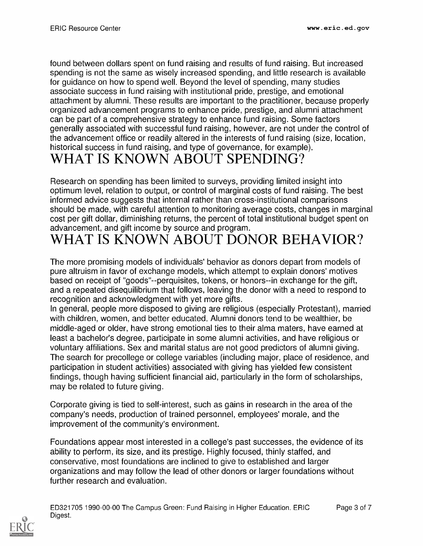found between dollars spent on fund raising and results of fund raising. But increased spending is not the same as wisely increased spending, and little research is available for guidance on how to spend well. Beyond the level of spending, many studies associate success in fund raising with institutional pride, prestige, and emotional attachment by alumni. These results are important to the practitioner, because properly organized advancement programs to enhance pride, prestige, and alumni attachment can be part of a comprehensive strategy to enhance fund raising. Some factors generally associated with successful fund raising, however, are not under the control of the advancement office or readily altered in the interests of fund raising (size, location, historical success in fund raising, and type of governance, for example).

#### WHAT IS KNOWN ABOUT SPENDING?

Research on spending has been limited to surveys, providing limited insight into optimum level, relation to output, or control of marginal costs of fund raising. The best informed advice suggests that internal rather than cross-institutional comparisons should be made, with careful attention to monitoring average costs, changes in marginal cost per gift dollar, diminishing returns, the percent of total institutional budget spent on advancement, and gift income by source and program.

### WHAT IS KNOWN ABOUT DONOR BEHAVIOR?

The more promising models of individuals' behavior as donors depart from models of pure altruism in favor of exchange models, which attempt to explain donors' motives based on receipt of "goods"--perquisites, tokens, or honors--in exchange for the gift, and a repeated disequilibrium that follows, leaving the donor with a need to respond to recognition and acknowledgment with yet more gifts.

In general, people more disposed to giving are religious (especially Protestant), married with children, women, and better educated. Alumni donors tend to be wealthier, be middle-aged or older, have strong emotional ties to their alma maters, have earned at least a bachelor's degree, participate in some alumni activities, and have religious or voluntary affiliations. Sex and marital status are not good predictors of alumni giving. The search for precollege or college variables (including major, place of residence, and participation in student activities) associated with giving has yielded few consistent findings, though having sufficient financial aid, particularly in the form of scholarships, may be related to future giving.

Corporate giving is tied to self-interest, such as gains in research in the area of the company's needs, production of trained personnel, employees' morale, and the improvement of the community's environment.

Foundations appear most interested in a college's past successes, the evidence of its ability to perform, its size, and its prestige. Highly focused, thinly staffed, and conservative, most foundations are inclined to give to established and larger organizations and may follow the lead of other donors or larger foundations without further research and evaluation.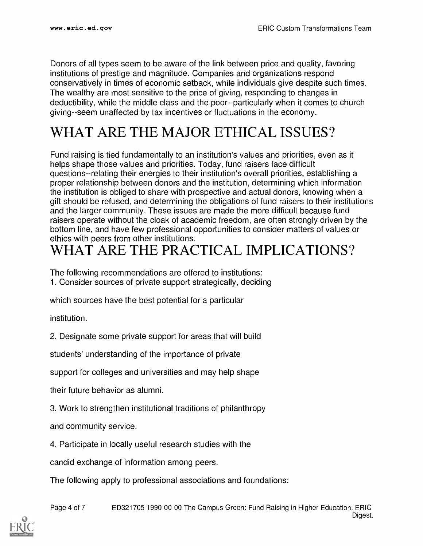Donors of all types seem to be aware of the link between price and quality, favoring institutions of prestige and magnitude. Companies and organizations respond conservatively in times of economic setback, while individuals give despite such times. The wealthy are most sensitive to the price of giving, responding to changes in deductibility, while the middle class and the poor--particularly when it comes to church giving--seem unaffected by tax incentives or fluctuations in the economy.

#### WHAT ARE THE MAJOR ETHICAL ISSUES?

Fund raising is tied fundamentally to an institution's values and priorities, even as it helps shape those values and priorities. Today, fund raisers face difficult questions--relating their energies to their institution's overall priorities, establishing a proper relationship between donors and the institution, determining which information the institution is obliged to share with prospective and actual donors, knowing when a gift should be refused, and determining the obligations of fund raisers to their institutions and the larger community. These issues are made the more difficult because fund raisers operate without the cloak of academic freedom, are often strongly driven by the bottom line, and have few professional opportunities to consider matters of values or ethics with peers from other institutions.

#### WHAT ARE THE PRACTICAL IMPLICATIONS?

The following recommendations are offered to institutions:

1. Consider sources of private support strategically, deciding

which sources have the best potential for a particular

institution.

2. Designate some private support for areas that will build

students' understanding of the importance of private

support for colleges and universities and may help shape

their future behavior as alumni.

3. Work to strengthen institutional traditions of philanthropy

and community service.

4. Participate in locally useful research studies with the

candid exchange of information among peers.

The following apply to professional associations and foundations:

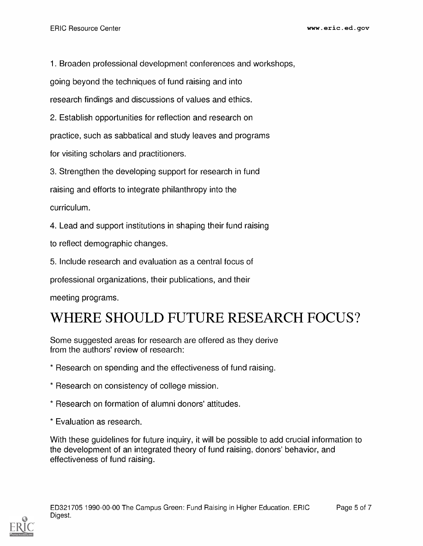1. Broaden professional development conferences and workshops,

going beyond the techniques of fund raising and into

research findings and discussions of values and ethics.

2. Establish opportunities for reflection and research on

practice, such as sabbatical and study leaves and programs

for visiting scholars and practitioners.

3. Strengthen the developing support for research in fund

raising and efforts to integrate philanthropy into the

curriculum.

4. Lead and support institutions in shaping their fund raising

to reflect demographic changes.

5. Include research and evaluation as a central focus of

professional organizations, their publications, and their

meeting programs.

### WHERE SHOULD FUTURE RESEARCH FOCUS?

Some suggested areas for research are offered as they derive from the authors' review of research:

- \* Research on spending and the effectiveness of fund raising.
- \* Research on consistency of college mission.
- \* Research on formation of alumni donors' attitudes.
- \* Evaluation as research.

With these guidelines for future inquiry, it will be possible to add crucial information to the development of an integrated theory of fund raising, donors' behavior, and effectiveness of fund raising.

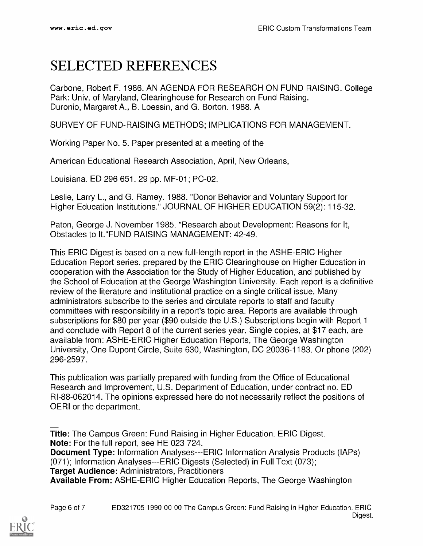#### SELECTED REFERENCES

Carbone, Robert F. 1986. AN AGENDA FOR RESEARCH ON FUND RAISING. College Park: Univ. of Maryland, Clearinghouse for Research on Fund Raising. Duronio, Margaret A., B. Loessin, and G. Borton. 1988. A

SURVEY OF FUND-RAISING METHODS; IMPLICATIONS FOR MANAGEMENT.

Working Paper No. 5. Paper presented at a meeting of the

American Educational Research Association, April, New Orleans,

Louisiana. ED 296 651. 29 pp. MF-01; PC-02.

Leslie, Larry L., and G. Ramey. 1988. "Donor Behavior and Voluntary Support for Higher Education Institutions." JOURNAL OF HIGHER EDUCATION 59(2): 115-32.

Paton, George J. November 1985. "Research about Development: Reasons for It, Obstacles to It."FUND RAISING MANAGEMENT: 42-49.

This ERIC Digest is based on a new full-length report in the ASHE-ERIC Higher Education Report series, prepared by the ERIC Clearinghouse on Higher Education in cooperation with the Association for the Study of Higher Education, and published by the School of Education at the George Washington University. Each report is a definitive review of the literature and institutional practice on a single critical issue. Many administrators subscribe to the series and circulate reports to staff and faculty committees with responsibility in a report's topic area. Reports are available through subscriptions for \$80 per year (\$90 outside the U.S.) Subscriptions begin with Report 1 and conclude with Report 8 of the current series year. Single copies, at \$17 each, are available from: ASHE-ERIC Higher Education Reports, The George Washington University, One Dupont Circle, Suite 630, Washington, DC 20036-1183. Or phone (202) 296-2597.

This publication was partially prepared with funding from the Office of Educational Research and Improvement, U.S. Department of Education, under contract no. ED RI-88-062014. The opinions expressed here do not necessarily reflect the positions of OERI or the department.

Title: The Campus Green: Fund Raising in Higher Education. ERIC Digest. Note: For the full report, see HE 023 724. Document Type: Information Analyses---ERIC Information Analysis Products (IAPs) (071); Information Analyses---ERIC Digests (Selected) in Full Text (073); Target Audience: Administrators, Practitioners Available From: ASHE-ERIC Higher Education Reports, The George Washington